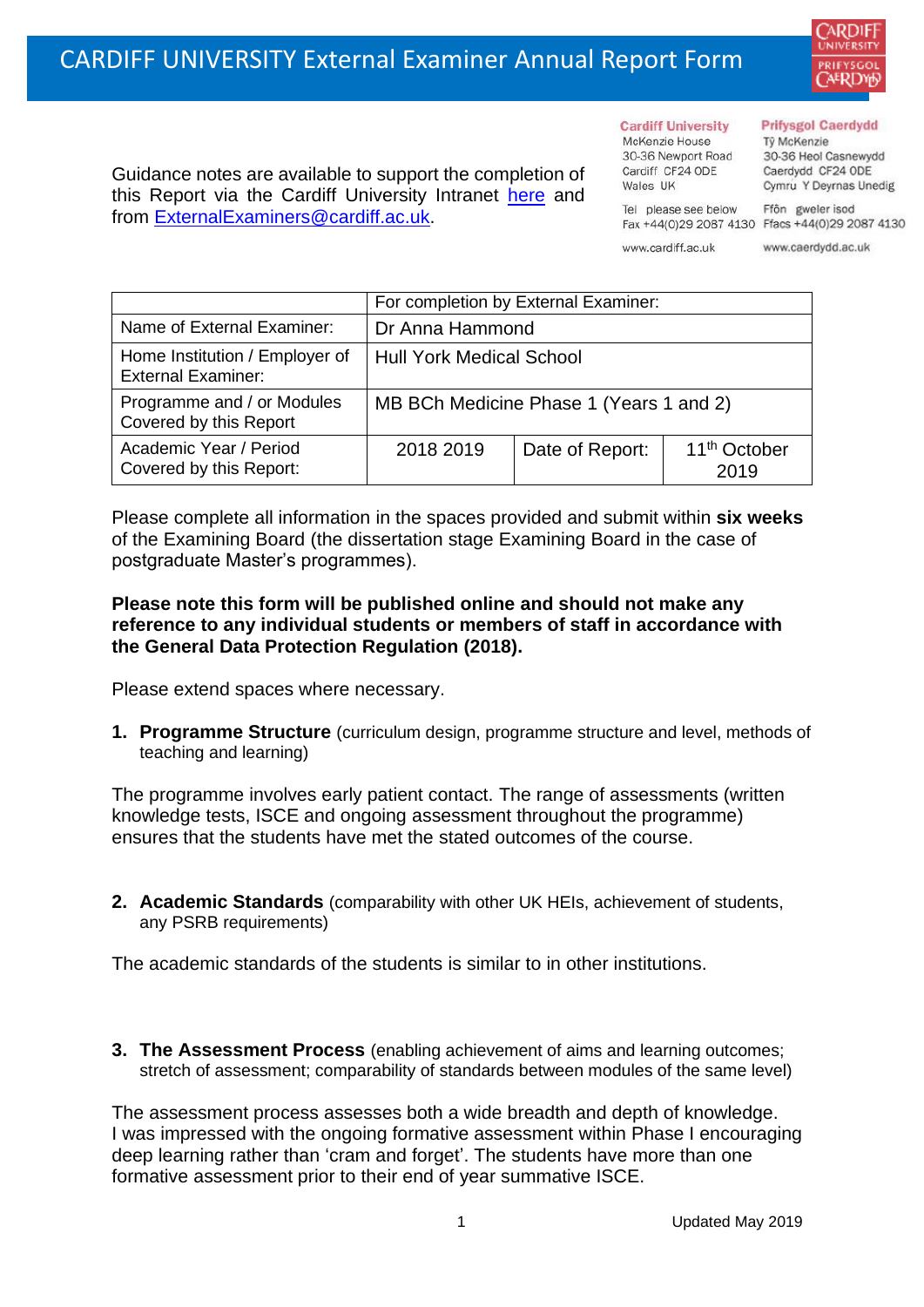

Guidance notes are available to support the completion of this Report via the Cardiff University Intranet [here](https://intranet.cardiff.ac.uk/staff/teaching-and-supporting-students/exams-and-assessment/exam-boards-and-external-examiners/for-current-external-examiners/external-examiners-reports) and from [ExternalExaminers@cardiff.ac.uk.](mailto:ExternalExaminers@cardiff.ac.uk)

## **Prifysgol Caerdydd**

**Cardiff University** McKenzie House Từ McKenzie 30-36 Newport Road 30-36 Heol Casnewydd Cardiff CF24 ODE Caerdydd CF24 ODE

Cymru Y Deyrnas Unedig Ffôn gweler isod

Fax +44(0)29 2087 4130 Ffacs +44(0)29 2087 4130 www.cardiff.ac.uk

Tel please see below

Wales UK

www.caerdydd.ac.uk

|                                                             | For completion by External Examiner:    |                 |                                  |  |  |
|-------------------------------------------------------------|-----------------------------------------|-----------------|----------------------------------|--|--|
| Name of External Examiner:                                  | Dr Anna Hammond                         |                 |                                  |  |  |
| Home Institution / Employer of<br><b>External Examiner:</b> | <b>Hull York Medical School</b>         |                 |                                  |  |  |
| Programme and / or Modules<br>Covered by this Report        | MB BCh Medicine Phase 1 (Years 1 and 2) |                 |                                  |  |  |
| Academic Year / Period<br>Covered by this Report:           | 2018 2019                               | Date of Report: | 11 <sup>th</sup> October<br>2019 |  |  |

Please complete all information in the spaces provided and submit within **six weeks** of the Examining Board (the dissertation stage Examining Board in the case of postgraduate Master's programmes).

## **Please note this form will be published online and should not make any reference to any individual students or members of staff in accordance with the General Data Protection Regulation (2018).**

Please extend spaces where necessary.

**1. Programme Structure** (curriculum design, programme structure and level, methods of teaching and learning)

The programme involves early patient contact. The range of assessments (written knowledge tests, ISCE and ongoing assessment throughout the programme) ensures that the students have met the stated outcomes of the course.

**2. Academic Standards** (comparability with other UK HEIs, achievement of students, any PSRB requirements)

The academic standards of the students is similar to in other institutions.

**3. The Assessment Process** (enabling achievement of aims and learning outcomes; stretch of assessment; comparability of standards between modules of the same level)

The assessment process assesses both a wide breadth and depth of knowledge. I was impressed with the ongoing formative assessment within Phase I encouraging deep learning rather than 'cram and forget'. The students have more than one formative assessment prior to their end of year summative ISCE.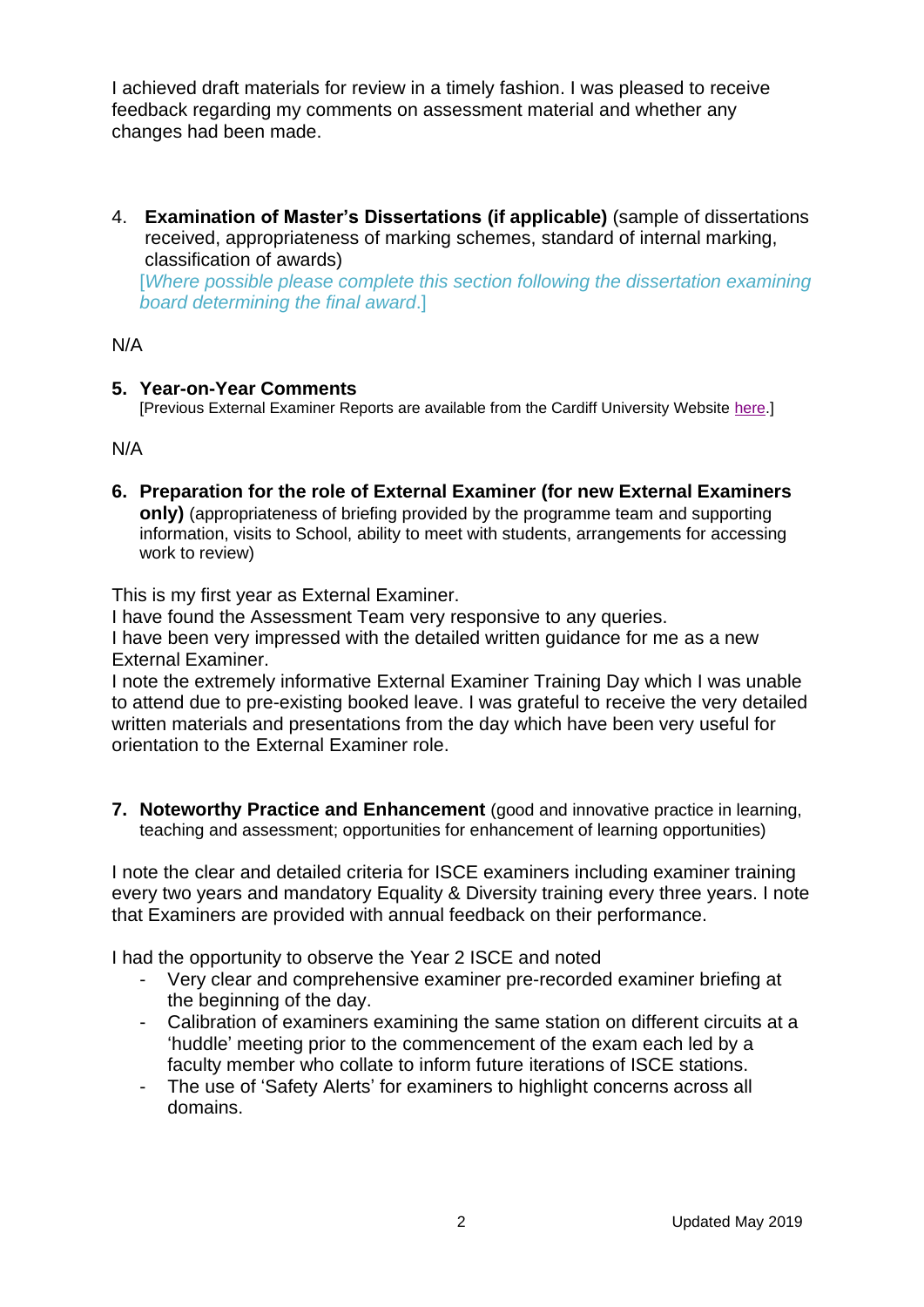I achieved draft materials for review in a timely fashion. I was pleased to receive feedback regarding my comments on assessment material and whether any changes had been made.

4. **Examination of Master's Dissertations (if applicable)** (sample of dissertations received, appropriateness of marking schemes, standard of internal marking, classification of awards) [*Where possible please complete this section following the dissertation examining board determining the final award*.]

N/A

## **5. Year-on-Year Comments**

[Previous External Examiner Reports are available from the Cardiff University Website [here.](https://www.cardiff.ac.uk/public-information/quality-and-standards/external-examiner-reports)]

N/A

**6. Preparation for the role of External Examiner (for new External Examiners only)** (appropriateness of briefing provided by the programme team and supporting information, visits to School, ability to meet with students, arrangements for accessing work to review)

This is my first year as External Examiner.

I have found the Assessment Team very responsive to any queries.

I have been very impressed with the detailed written guidance for me as a new External Examiner.

I note the extremely informative External Examiner Training Day which I was unable to attend due to pre-existing booked leave. I was grateful to receive the very detailed written materials and presentations from the day which have been very useful for orientation to the External Examiner role.

**7. Noteworthy Practice and Enhancement** (good and innovative practice in learning, teaching and assessment; opportunities for enhancement of learning opportunities)

I note the clear and detailed criteria for ISCE examiners including examiner training every two years and mandatory Equality & Diversity training every three years. I note that Examiners are provided with annual feedback on their performance.

I had the opportunity to observe the Year 2 ISCE and noted

- Very clear and comprehensive examiner pre-recorded examiner briefing at the beginning of the day.
- Calibration of examiners examining the same station on different circuits at a 'huddle' meeting prior to the commencement of the exam each led by a faculty member who collate to inform future iterations of ISCE stations.
- The use of 'Safety Alerts' for examiners to highlight concerns across all domains.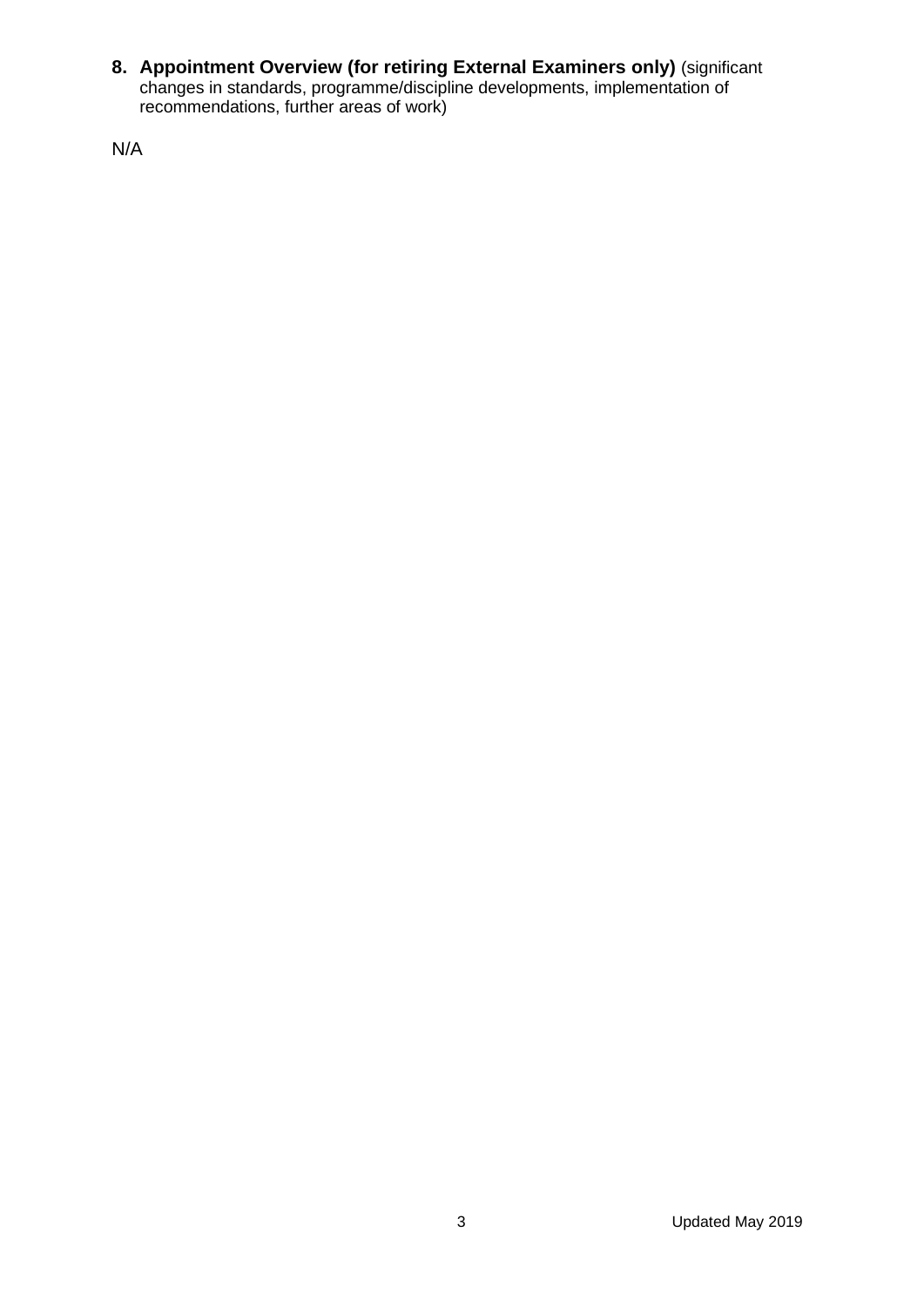**8. Appointment Overview (for retiring External Examiners only)** (significant changes in standards, programme/discipline developments, implementation of recommendations, further areas of work)

N/A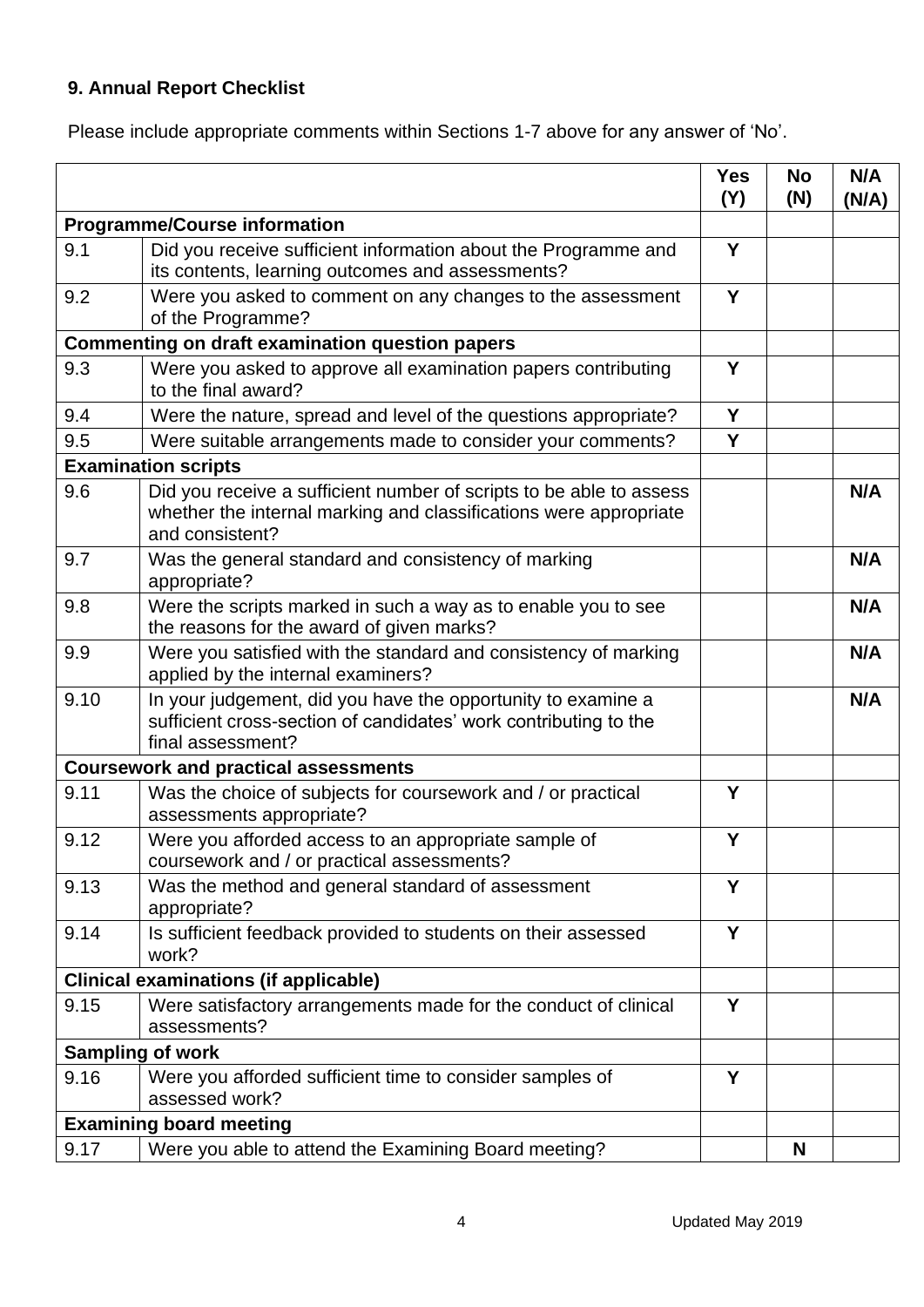## **9. Annual Report Checklist**

Please include appropriate comments within Sections 1-7 above for any answer of 'No'.

|                                                        |                                                                                                                                                             | <b>Yes</b><br>(Y) | <b>No</b><br>(N) | N/A<br>(N/A) |
|--------------------------------------------------------|-------------------------------------------------------------------------------------------------------------------------------------------------------------|-------------------|------------------|--------------|
| <b>Programme/Course information</b>                    |                                                                                                                                                             |                   |                  |              |
| 9.1                                                    | Did you receive sufficient information about the Programme and<br>its contents, learning outcomes and assessments?                                          | Y                 |                  |              |
| 9.2                                                    | Were you asked to comment on any changes to the assessment<br>of the Programme?                                                                             | Y                 |                  |              |
| <b>Commenting on draft examination question papers</b> |                                                                                                                                                             |                   |                  |              |
| 9.3                                                    | Were you asked to approve all examination papers contributing<br>to the final award?                                                                        |                   |                  |              |
| 9.4                                                    | Were the nature, spread and level of the questions appropriate?                                                                                             | Y                 |                  |              |
| 9.5                                                    | Were suitable arrangements made to consider your comments?                                                                                                  | Y                 |                  |              |
| <b>Examination scripts</b>                             |                                                                                                                                                             |                   |                  |              |
| 9.6                                                    | Did you receive a sufficient number of scripts to be able to assess<br>whether the internal marking and classifications were appropriate<br>and consistent? |                   |                  | N/A          |
| 9.7                                                    | Was the general standard and consistency of marking<br>appropriate?                                                                                         |                   |                  | N/A          |
| 9.8                                                    | Were the scripts marked in such a way as to enable you to see<br>the reasons for the award of given marks?                                                  |                   |                  | N/A          |
| 9.9                                                    | Were you satisfied with the standard and consistency of marking<br>applied by the internal examiners?                                                       |                   |                  | N/A          |
| 9.10                                                   | In your judgement, did you have the opportunity to examine a<br>sufficient cross-section of candidates' work contributing to the<br>final assessment?       |                   |                  | N/A          |
|                                                        | <b>Coursework and practical assessments</b>                                                                                                                 |                   |                  |              |
| 9.11                                                   | Was the choice of subjects for coursework and / or practical<br>assessments appropriate?                                                                    | Y                 |                  |              |
| 9.12                                                   | Were you afforded access to an appropriate sample of<br>coursework and / or practical assessments?                                                          | Y                 |                  |              |
| 9.13                                                   | Was the method and general standard of assessment<br>appropriate?                                                                                           | Y                 |                  |              |
| 9.14                                                   | Is sufficient feedback provided to students on their assessed<br>work?                                                                                      | Y                 |                  |              |
|                                                        | <b>Clinical examinations (if applicable)</b>                                                                                                                |                   |                  |              |
| 9.15                                                   | Were satisfactory arrangements made for the conduct of clinical<br>assessments?                                                                             | Y                 |                  |              |
| <b>Sampling of work</b>                                |                                                                                                                                                             |                   |                  |              |
| 9.16                                                   | Were you afforded sufficient time to consider samples of<br>assessed work?                                                                                  | Y                 |                  |              |
|                                                        | <b>Examining board meeting</b>                                                                                                                              |                   |                  |              |
| 9.17                                                   | Were you able to attend the Examining Board meeting?                                                                                                        |                   | N                |              |